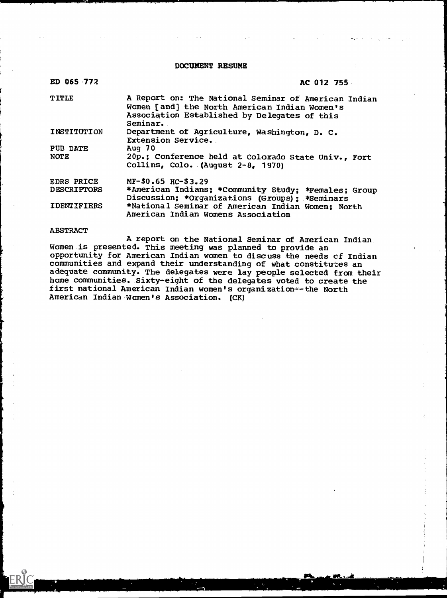DOCUMENT RESUME.

| ED 065 772         | AC 012 755                                                                                                                                                        |
|--------------------|-------------------------------------------------------------------------------------------------------------------------------------------------------------------|
| <b>TITLE</b>       | A Report on: The National Seminar of American Indian<br>Women [and] the North American Indian Women's<br>Association Established by Delegates of this<br>Seminar. |
| INSTITUTION        | Department of Agriculture, Washington, D. C.<br>Extension Service.                                                                                                |
| PUB DATE           | Aug $70$                                                                                                                                                          |
| <b>NOTE</b>        | 20p.; Conference held at Colorado State Univ., Fort<br>Collins, Colo. (August $2-8$ , 1970)                                                                       |
| <b>EDRS PRICE</b>  | $MF-$0.65$ HC-\$3.29                                                                                                                                              |
| <b>DESCRIPTORS</b> | *American Indians; *Community Study; *Females; Group<br>Discussion: *Organizations (Groups): *Seminars                                                            |
| <b>IDENTIFIERS</b> | *National Seminar of American Indian Women; North<br>American Indian Womens Association                                                                           |

### ABSTRACT

**ERIC** 

A report on the National Seminar of American Indian Women is presented. This meeting was planned to provide an opportunity for American Indian women to discuss the needs cf Indian communities and expand their understanding of what constitutes an adequate community. The delegates were lay people selected from their home communities. Sixty-eight of the delegates voted to create the first national American Indian women's organization--the North American Indian Women's Association. (CK)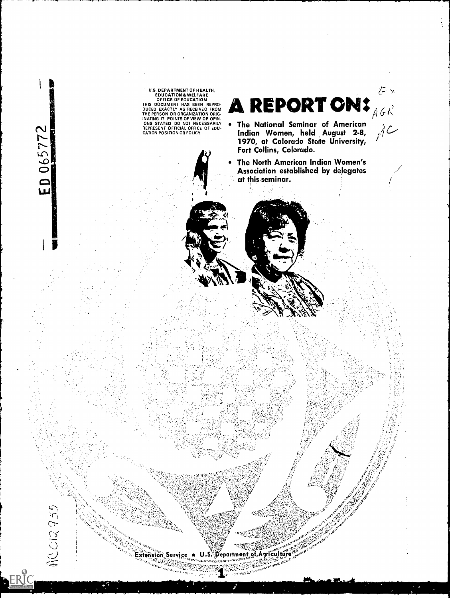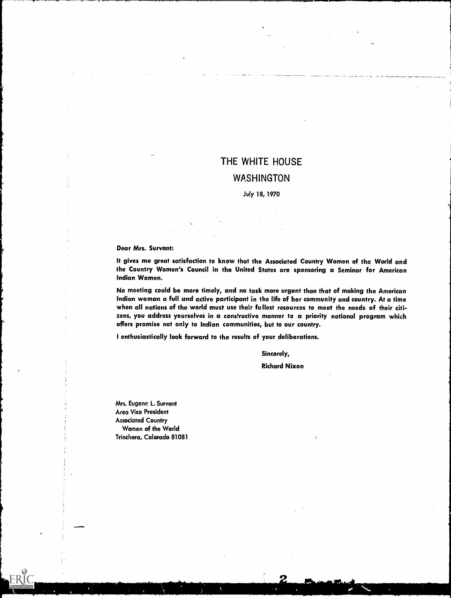# THE WHITE HOUSE **WASHINGTON**

### July 18, 1970

Dear Mrs. Survant:

It gives me great satisfaction to know that the Associated Country Women of the World and the Country Women's Council in the United States are sponsoring a Seminar for American Indian Women.

No meeting could be more timely, and no task more urgent than that of making the American Indian woman a full and active participant in the life of her community and country. At a time when all nations of the world must use their fullest resources to meet the needs of their citizens, you address yourselves in a constructive manner to a priority national program which offers promise not only to Indian communities, but to our country.

I enthusiastically look forward to the results of your deliberations.

Sincerely,

Richard Nixon

Mrs. Eugene L. Survant Area Vice President Associated Country Women of the World Trinchera, Colorado 81081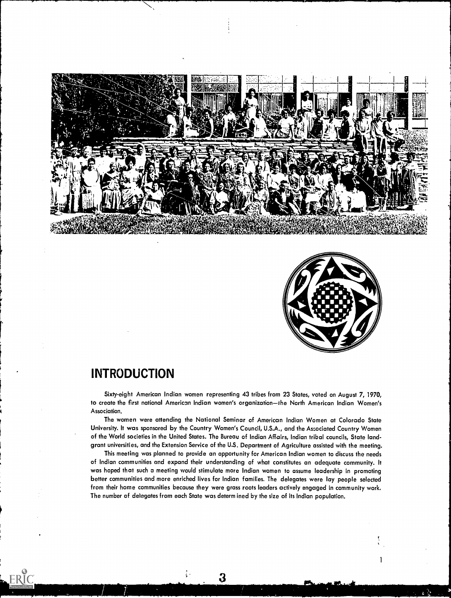



1

### INTRODUCTION

Sixty-eight American Indian women representing 43 tribes from 23 States, voted on August 7, 1970, to create the first national American Indian women's organization-the North American Indian Women's Association.

The women were attending the National Seminar of American Indian Women at Colorado State University. It was sponsored by the Country Women's Council, U.S.A., and the Associated Country Women of the World societies in the United States. The Bureau of Indian Affairs, Indian tribal councils, State landgrant universities, and the Extension Service of the U.S. Department of Agriculture assisted with the meeting.

This meeting was planned to provide an opportunity for American Indian women to discuss the needs of Indian communities and expand their understanding of what constitutes an adequate community. It was hoped that such a meeting would stimulate more Indian women to assume leadership in promoting better communities and more enriched lives for Indian families. The delegates were lay people selected from their home communities because they were grass roots leaders actively engaged in community work. The number of delegates from each State was determ ined by the size of its Indian population.

3

ţ.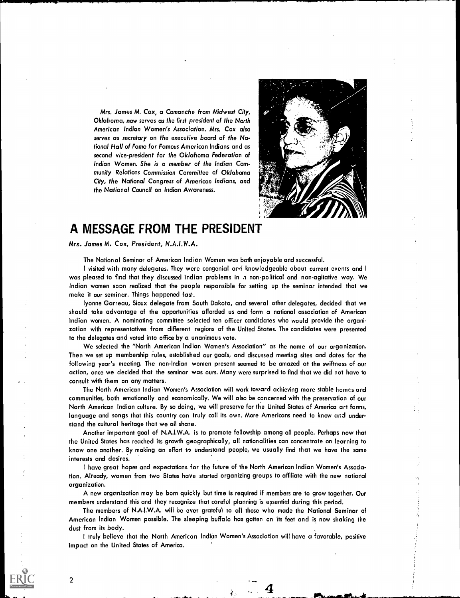



### A MESSAGE FROM THE PRESIDENT

Mrs. James M. Cox, President, N.A.I.W.A.

The National Seminar of American Indian Women was both enjoyable and successful.

<sup>I</sup> visited with many delegates. They were congenial and knowledgeable about current events and I was pleased to find that they discussed Indian problems in a non-political and non-agitative way. We Indian women soon realized that the people responsible for setting up the seminar intended that we make it our seminar. Things happened fast.

lyonne Garreau, Sioux delegate from South Dakota, and several other delegates, decided that we should take advantage of the opportunities afforded us and form a national association of American Indian women. A nominating committee selected ten officer candidates who would provide the organization with representatives from different regions of the United States. The candidates were presented to the delegates and voted into office by a unanimous vote.

We selected the "North American Indian Women's Association" as the name of our organization. Then we set up membership rules, established our goals, and discussed meeting sites and dates for the following year's meeting. The non-Indian women present seemed to be amazed at the swiftness of our action, once we decided that the seminar was ours. Many were surprised to find that we did not have to consult with them on any matters.

The North American Indian Women's Association will work toward achieving more stable homes and communities, both emotionally and economically. We will also be concerned with the preservation of our North American Indian culture. By so doing, we will preserve for the United States of America art forms, language and songs that this country can truly call its own. More Americans need to know and understand the cultural heritage that we all share.

Another important goal of N.A.I.W.A. is to promote fellowship among all people. Perhaps now that the United States has reached its growth geographically, all nationalities can concentrate on learning to know one another. By making an effort to understand people, we usually find that we have the same interests and desires.

I have great hopes and expectations for the future of the North American Indian Women's Association. Already, women from two States have started organizing groups to affiliate with the new national organization.

A new organization may be born quickly but time is required if members are to grow together. Our members understand this and they recognize that careful planning is essential during this period.

The members of N.A.I.W.A. will be ever grateful to all those who made the National Seminar of American Indian Women possible. The sleeping buffalo has gotten on its feet and is now shaking the dust from its body.

<sup>I</sup> truly believe that the North American Indian Women's Association will have a favorable, positive impact on the United States of America.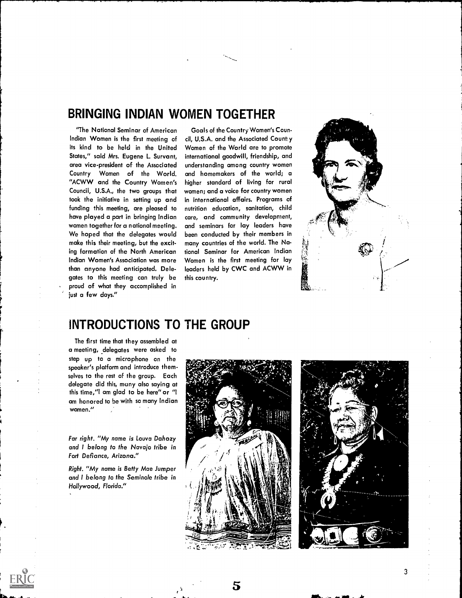### BRINGING INDIAN WOMEN TOGETHER

"The National Seminar of American Indian Women is the first meeting of its kind to be held in the United States," said Mrs. Eugene L. Survant, area vice-president of the Associated Country Women of the World. "ACWW and the Country Women's Councii, U.S.A., the two groups that took the initiative in setting up and funding this meeting, are pleased to have played a part in bringing Indian women together for a national meeting. We hoped that the delegates would make this their meeting, but the exciting formation of the North American Indian Women's Association was more than anyone had anticipated. Delegates to this meeting can truly be proud of what they accomplished in just a few days."

Goals of the Country Women's Council, U.S.A. and the Associated Count: y Women of the World are to promote international goodwill, friendship, and understanding among country women and homemakers of the world; a higher standard of living for rural women; and a voice for country women in international affairs. Programs of nutrition education, sanitation, child care, and community development, and seminars for lay leaders have been conducted by their members in many countries of the world. The National Seminar for American Indian Women is the first meeting for lay leaders held by CWC and ACWW in this country.



### INTRODUCTIONS TO THE GROUP

The first time that they assembled at a meeting, delegates were asked to step up to a microphone on the speaker's platform and introduce themselves to the rest of the group. Each delegate did this, muny also saying at this time,"I am glad to be here" or "I am honored to he with so many Indian women."

Far right. "My name is Louva Dahozy and I belong to the Navajo tribe in Fort Defiance, Arizona."

Right. "My name is Betty Mae Jumper and I belong to the Seminole tribe in Hollywood, Florida."



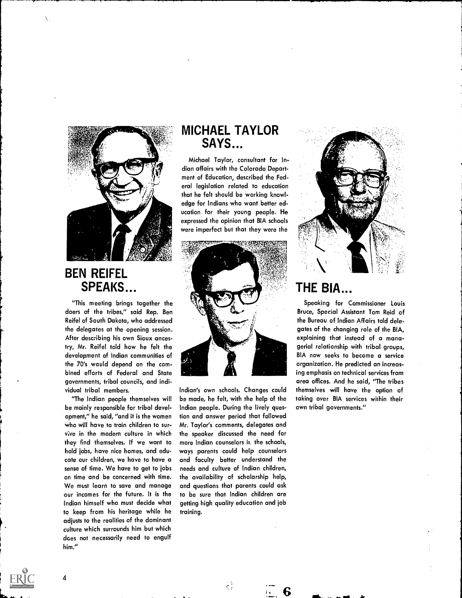

### BEN REIFEL SPEAKS.

"This meeting brings together the doers of the tribes," said Rep. Ben Reifel of South Dakota, who addressed the delegates at the opening session. After describing his own Sioux ancestry, Mr. Reifel told how he felt the development of Indian communities of the 70's would depend on the combined efforts of Federal and State governments, tribal councils, and individual tribal members.

"The Indian people themselves will be mainly responsible for tribal development," he said, "and it is the women who will have to train children to surv;ve in the modern culture in which they find themselves. If we want to hold jobs, have nice homes, and educate our children, we have to have a sense of time. We have to get to jobs on time and be concerned with time. We must learn to save and manage our incomes for the future. It is the Indian himself who must decide what to keep from his heritage while he adjusts to the realities of the dominant culture which surrounds him but which does not necessarily need to engulf him."

4

### MICHAEL TAYLOR SAYS...

Michael Taylor, consultant for Indian affairs with the Colorado Department of Education, described the Federal legislation related to education that he felt should be working knowledge for Indians who want better education for their young people. He expressed the opinion that BIA schools were imperfect but that they were the



Indian's own schools. Changes could be made, he felt, with the help of the Indian people. During the lively question and answer period that followed Mr. Taylor's comments, delegates and the speaker discussed the need for more Indian counselors it, the schools, ways parents could help counselors and faculty better understand the needs and culture of Indian children, the availability of scholarship help, and questions that parents could ask to be sure that Indian children are getting high quality education and job training.

 $\frac{1}{2}$ 



### **THE BIA**

Speaking for Commissioner Louis Bruce, Special Assistant Tom Reid of the Bureau of Indian Affairs told delegates of the changing role of the BIA, explaining that instead of a managerial relationship with tribal groups, BIA now seeks to become a service organization. He predicted an increasing emphasis on technical services from area offices. And he said, "The tribes themselves will have the option of taking over BIA services within their own tribal governments."

 $\overline{\phantom{a}}$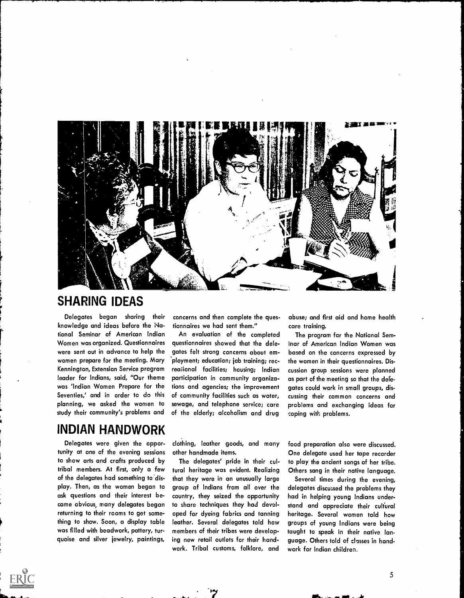

### SHARING IDEAS

Delegates began sharing their knowledge and ideas before the National Seminar of American Indian Women was organized. Questionnaires were sent out in advance to help the women prepare for the meeting. Mary Kennington, Extension Service program leader for Indians, said, "Our theme was 'Indian Women Prepare for the Seventies,' and in order to do this planning, we asked the women to study their community's problems and

### INDIAN HANDWORK

Delegates were given the opportunity at one of the evening sessions to show arts and crafts produced by tribal members. At first, only a few of the delegates had something to 'display. Then, as the women began to ask questions and their interest became obvious, many delegates began returning to their rooms to get something to show. Soon, a display table was filled with beadwork, pottery, turquoise and silver jewelry, paintings,

concerns and then complete the questionnaires we had sent them."

An evaluation of the completed questionnaires showed that the delegates felt strong concerns about em- 'ployment; education; job training; recreational facilities; housing; Indian participation in community organizations and agencies; the improvement of community facilities such as water, sewage, and telephone service; care of the elderly; alcoholism and drug

abuse; and first aid and home health care training.

The program for the National Seminar of American Indian Women was based on the concerns expressed by the women in their questionnaires. Discussion group sessions were planned as part of the meeting so that the delegates could work in small groups, discussing their common concerns and problems and exchanging ideas for coping with problems.

clothing, leather goods, and many other handmade items.

The delegates' pride in their cultural heritage was evident. Realizing that they were in an unusually large group of Indians from all over the country, they seized the opportunity to share techniques they had developed for dyeing fabrics and tanning leather. Several delegates told how members of their tribes were developing new retail outlets for their handwork. Tribal customs, folklore, and

food preparation also were discussed. One delegate used her tape recorder to play the ancient songs of her tribe. Others sang in their native language.

Several times during the evening, delegates discussed the problems they had in helping young Indians understand and appreciate their cultural heritage. Several women told how groups of young Indians were being taught to speak in their native language. Others told of classes in handwork for Indian children.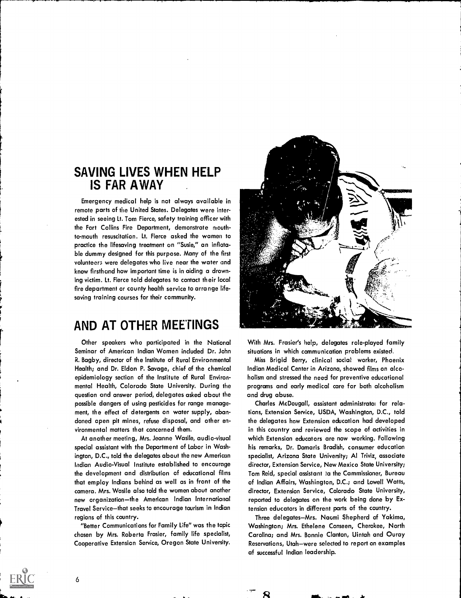### SAVING LIVES WHEN HELP IS FAR AWAY

Emergency medical help is not always available in remote parts of the United States. Delegates were interested in seeing Lt. Tom Fierce, safety training officer with the Fort Collins Fire Department, demonstrate mouthto-mouth resuscitation. Lt. Fierce asked the women to practice the lifesaving treatment on "Susie," an inflatable dummy designed for this purpose. Many of the first volunteers were delegates who live near the water and know firsthand how important time is in aiding a drowning victim. Lt. Fierce told delegates to contact their local fire department or county health service to arrange lifesaving training courses for their community.

### AND AT OTHER MEETINGS

Other speakers who participated in the National Seminar of American Indian Women included Dr. John R. Bagby, director of the Institute of Rural Environmental Health; and Dr. Eldon P. Savage, chief of the chemical epidemiology section of the Institute of Rural Environmental Health, Colorado State University. During the question and answer period, delegates asked about the possible dangers of using pesticides for range management, the effect of detergents on water supply, abandoned open pit mines, refuse disposal, and other environmental matters that concerned them.

At another meeting, Mrs. Jeanne Wasile, audio-visual special assistant with the Department of Labor in Washington, D.C., told the delegates about the new American Indian Audio-Visual Institute established to encourage the development and distribution of educational films that employ Indians behind as well as in front of the camera. Mrs. Wasile also told the women about another new organization-the American Indian International Travel Service-that seeks to encourage tourism in Indian regions of this country.

"Better Communications for Family Life" was the topic chosen by Mrs. Roberta Frasier, family life specialist, Cooperative Extension Service, Oregon State University.



With Mrs. Frasier's help, delegates role-played family situations in which communication problems existed.

Miss Brigid Berry, clinical social worker, Phoenix Indian Medical Center in Arizona, showed films on alcoholism and stressed the need for preventive educational programs and early medical care for both alcoholism and drug abuse.

Charles McDougall, assistant administratoi for relations, Extension Service, USDA, Washington, D.C., told the delegates how Extension education had developed in this country and reviewed the scope of activities in which Extension educators are now working. Following his remarks, Dr. Damaris Bradish, consumer education specialist, Arizona State University; Al Triviz, associate director, Extension Service, New Mexico State University; Tom Reid, special assistant ta the Cammissioner, Bureau of Indian Affairs, Washington, D.C.; and Lowell Watts, director, Extension Service, Colorado State University, reported to delegates on the work being done by Extension educators in different parts of the country.

Three delegates-Mrs. Naomi Shepherd of Yakima, Washington; Mrs. Ethelene Conseen, Cherokee, North Carolina; and Mrs. Bonnie Clanton, Uintah and Ouray Reservations, Utah-were selected to report on examples af successful Indian leadership.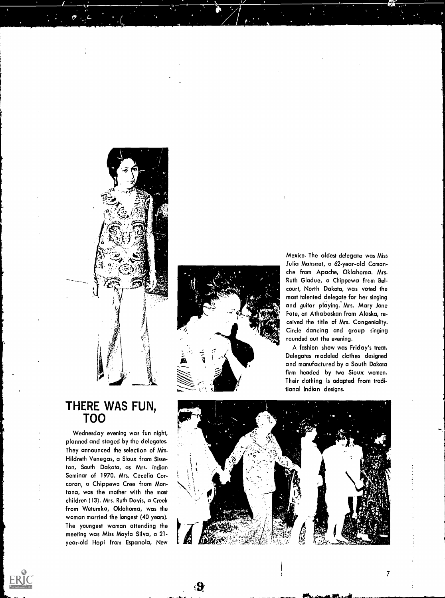

 $\mathbf{\Theta}$ 

Mexico. The oldest delegate was Miss Julia Mahseet, a 62-year-old Comanche from Apache, Oklahoma. Mrs. Ruth Gladue, a Chippewa from Belcourt, North Dakota, was voted the most talented delegate for her singing and guitar playing. Mrs. Mary Jane Fate, an Athabaskan from Alaska, received the title of Mrs. Congeniality. Circle dancing and group singing rounded out the evening.

A fashion show was Friday's treat. Delegates modeled clothes designed and manufactured by a South Dakota firm headed by two Sioux women. Their clothing is adapted from traditional Indian designs.



### THERE WAS FUN, TOO

Wednesday evening was fun night, planned and staged by the delegates. They announced the selection of Mrs. Hildreth Venegas, a Sioux from Sisseton, South Dakota, as Mrs. Indian Seminar of 1970. Mrs. Cecelia Corcoran, a Chippewa Cree from Montana, was the mother with the most children (13). Mrs. Ruth Davis, a Creek from Wetumka, Oklahoma, was the woman married the longest (40 years). The youngest woman attending the meeting was Miss Mayfa Silva, a 21 year-old Hopi from Espanola, New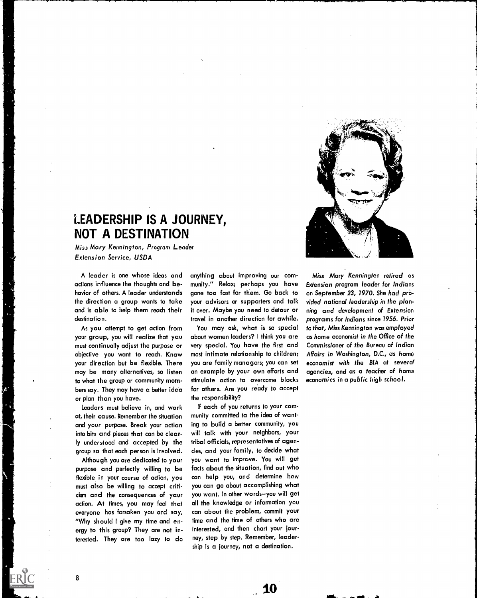

### LEADERSHIP IS A JOURNEY, NOT A DESTINATION

Miss Mary Kennington, Program Leader Extension Service, USDA

A leader is one whose ideas and actions influence the thoughts and behavior of others. A leader understands the direction a group wants to take and is able to help them reach their destination.

As you attempt to get action from your group, you will realize that yau must continually adjust the purpose or objective you want to reach. Knaw your direction but be flexible. There may be many alternatives, so listen to what the group or community members say. They may have a better idea or plan than you have.

Leaders must believe in, and work at, their cause. Remember the situation and your purpose. Break your actian into bits and pieces that can be clearly understood and accepted by the group so that each person is involved.

Although you are dedicated to your purpose and perfectly willing to be flexible in your course of action, you must also be willing to accept criticism and the consequences of yaur action. At times, you may feel that everyone has forsaken you and say, "Why should I give my time and energy to this group? They are not interested. They are too lazy to do

anything about improving our community." Relax; perhaps you have gone too fast for them. Go back to your advisors or supporters and talk it over. Maybe you need to detour or travel in another direction for awhile.

You may ask, what is so special about women leaders? I think you are very special. You have the first and most intimate relationship to children; you are family managers; you can set an example by your own efforts and stimulate action to overcome blocks for others. Are you ready to accept the responsibility?

If each of you returns to your community committed ta the idea of wanting to build a better community, you will talk with your neighbors, your tribal officials, representatives of agencies, and your family, to decide what you want to improve. You will get facts about the situation, find out who can help you, and determine how you can go about accomplishing what you want. In other words-you will get all the knowledge or information you can about the problem, commit your time and the time of others who are interested, and then chart your journey, step by step. Remember, leadership is a journey, not a destination.

10

a- .

Miss Mary Kennington retired as Extension program leader for Indians on September 23, 1970. She had provided national leadership in the planning and development of Extension programs for Indians since 1956. Prior to that, Miss Kennington was employed as home economist in the Office of the Commissioner of the Bureau of Indian Affairs in Washington, D.C., as home econo*mist with the BIA* at severa! agencies, and as a teacher of home economics in a public high school.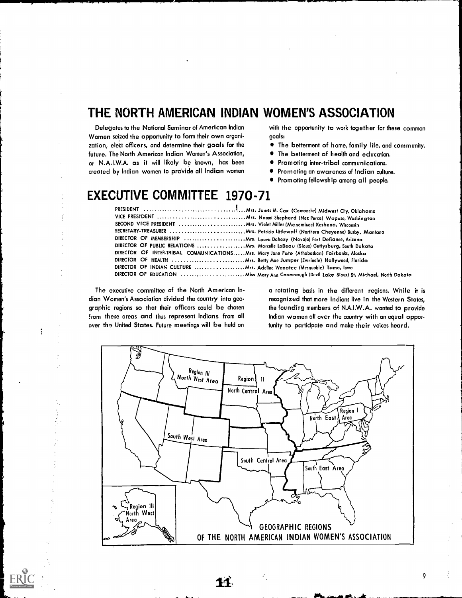### THE NORTH AMERICAN INDIAN WOMEN'S ASSOCIATION

Delegates to the National Seminar of American Indian Women seized the opportunity to form their own organization, elett officers, and determine their goals for the future. The North American Indian Women's Association, or N.A.I.W.A. as it will likely be known, has been created by Indian women to provide all Indian women  $\bullet$ 

with the opportunity to work together for these common goals:

- The betterment of home, family life, and community.
- The betterment of health and education.  $\bullet$
- Promoting inter-tribal communications.
- Promoting an awareness of Indian culture.
- Promoting fellowship among all people.

## EXECUTIVE COMMITTEE 1970-71

| SECOND VICE PRESIDENT  Mrs. Violet Miller (Menominee) Keshena, Wisconsin                  |  |
|-------------------------------------------------------------------------------------------|--|
|                                                                                           |  |
| DIRECTOR OF MEMBERSHIP  Mrs. Lauva Dahazy (Navaja) Fort Defiance, Arizona                 |  |
| DIRECTOR OF PUBLIC RELATIONS  Mrs. Marcelle LaBeau (Siaux) Gettysburg, Sauth Dakata       |  |
| DIRECTOR OF INTER-TRIBAL COMMUNICATIONSMrs. Mary Jane Fate (Athabaskan) Fairbanks, Alaska |  |
|                                                                                           |  |
|                                                                                           |  |
|                                                                                           |  |

The executive committee of the North American Indian Women's Association divided the country into geo, graphic regions so that their officers could be chosen from these areas and thus represent Indians from all over the United States. Future meetings will be held on

Í

a rotating basis in the different regions. While it is recognized that more Indians live in the Western States, the founding members of N.A.I.W.A. wanted to provide Indian women all over the country with an equal opportunity to participate and make their voices heard.

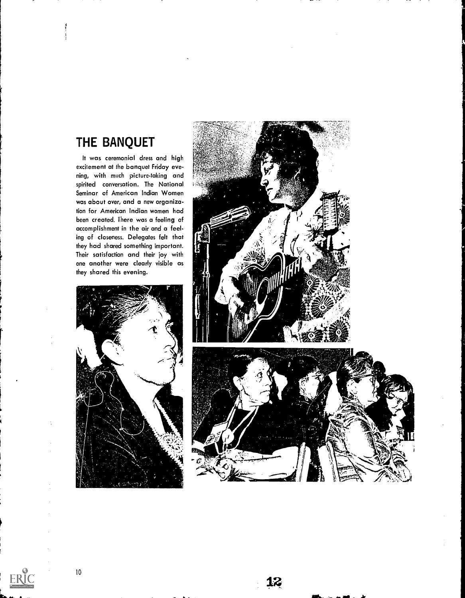### THE BANQUET

It was ceremonial dress and high excitement at the banquet Friday evening, with much picture-taking and spirited conversation. The National Seminar of American Indian Women was about over, and a new organization for American Indian women had been created. There was a feeling of accomplishment in the air and a feeling of closeness. Delegates felt that they had shared something important. Their satisfaction and their joy with one another were clearly visible as they shared this evening.



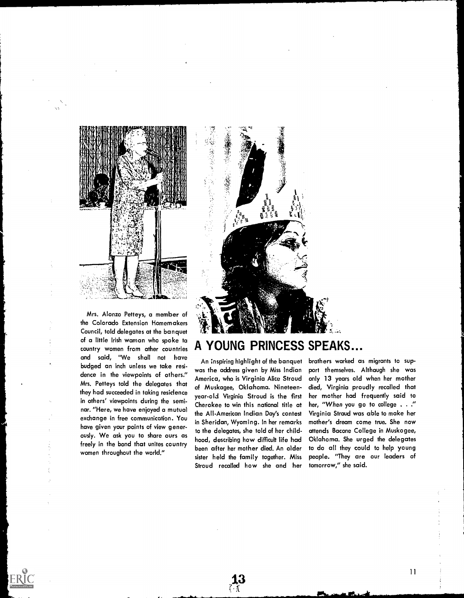

Mrs. Alonzo Petteys, a member of the Colorado Extension Homemakers Council, told delegates at the banquet of a little Irish waman who spoke ta<br>country women from other countries  $\mathbf A$ country women from other countries and said, "We shall not have budged an inch unless we take residence in the viewpoints of others." Mrs. Petteys told the delegates that they had succeeded in taking residence in others' viewpoints during the seminar. "Here, we have enjoyed a mutual exchange in free communication. You have given your points of view generously. We ask you to share ours as freely in the bond that unites country women throughout the world."

# YOUNG PRINCESS SPEAKS..

**Residence** 

An inspiring highlight of the banquet was the address given by Miss Indian America, who is Virginia Alice Stroud of Muskogee, Oklahoma. Nineteenyear-old Virginia Stroud is the first Cherokee to win this national title at the All-American Indian Day's contest in Sheridan, Wyoming. In her remarks to the delegates, she told of her childhood, describing how difficult life had been after her mother died. An older sister held the family together. Miss Stroud recalled how she and her

☆ 小田 (金) (金)

13

brothers worked as migrants to support themselves. Although she was only 13 years old when her mother died, Virginia proudly recalled that her mother had frequently said to her, "When you go to college . . ." Virginia Straud was able to make her mother's dream come true. She now attends Bacone College in Muskogee, Oklahoma. She urged the delegates to do all they could to help young people. "They are our leaders of tomorrow," she said.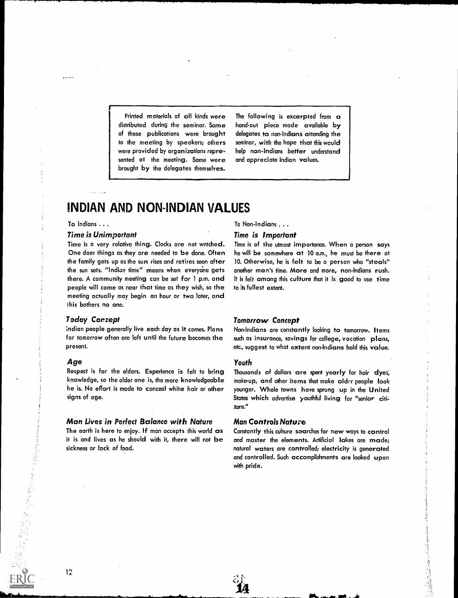Printed materials of all kinds were distributed during the seminar. Some of these publications were brought to the meeting by speakers; others were provided by organizations represented at the meeting. Some were brought by the delegates themselves.

The following is excerpted from a hand-out piece made available by delegates to non-Indians attending the seminar, with the hope that this would help non-Indians better understand and appreciate Indian values.

### INDIAN AND NON-INDIAN VALUES

### To Indians .. .

 $\frac{1}{2}$  and  $\frac{1}{2}$ 

#### Time is Unimportant

Time is a very relative thing. Clocks are not watched. One does things as they are needed to be done. Often the family gets up as the sun rises and retires soon after the sun sets. "Indian time" means when everyone gets there. A community meeting can be set for 1 p.m. and people will come as near that time as they wish, so the meeting actually may begin an hour or two later, and ihis bothers no one.

### T oday Cor rept

indian people generally live each day as it comes. Plans for tomorrow often are left until the future becomes the present.

#### Age

Respect is for the elders. Experience is felt to bring knowledge, so the older one is, the more knowledgeable he is. No effort is made to conceal white hair or other signs of age.

### Man Lives in Perfect Balance with Nature

The earth is here to enjoy. If man accepts this world as it is and lives as he should with it, there will not be sickness or lack of food.

Tc Non-Indians . . .

#### Time is Important

Time is of the utmost importance. When a person says he will be somewhere at 10 a.m., he must be there at 10. Otherwise, he is felt to be a person who "steals" another man's time. More and more, non-Indians rush. It is felt among this culture that it is good to use time to its fullest extent.

### Tomorrow Concept

Non-Indians are constantly looking to tomorrow. Items such as insurance, savings for college, vacation plans, etc., suggest to what extent non-Indians hold this value.

#### Youth

Thousands of dollars are spent yearly for hair dyes, make-up, and other items that make oldrr people look younger. Whole towns have sprung up in the United States which advertise youthful living for "senior citizens."

### **Man Controls Nature**

Constantly this culture searches for new ways to control and master the elements. Artificial lakes are made; natural waters are controlled; electricity is generated and controlled. Such accomplishments are looked upon with pride.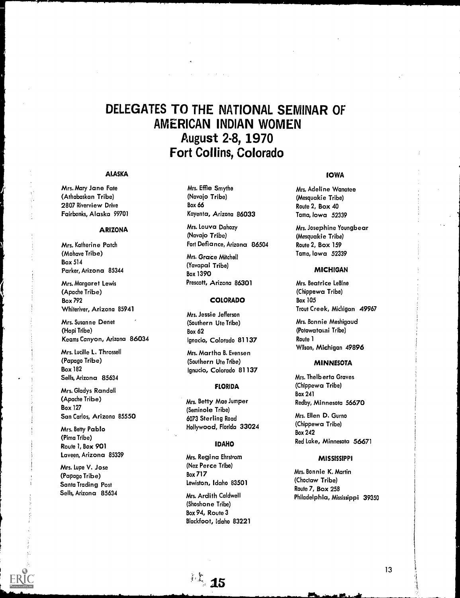### DELEGATES TO THE NATIONAL SEMINAR OF AMERICAN INDIAN WOMEN August 2-8, 1970 Fort Collins, Colorado

#### ALASKA

Mrs. Mary Jane Fate (Athabaskan Tribe) 2807 Riverview Drive Fairbanks, Alaska 99701

### ARIZONA

Mrs. Katherine Patch (Mohave Tribe) Box 514 Parker, Arizona 85344

Mrs. Margaret Lewis (Apache Tribe) Box 792 Whiteriver, Arizona 85941

Mrs. Susanne Denet (Hopi Tribe) Keams Canyon, Arizona 86034

Mrs. Lucille L. Throssell (Papago Tribe) Box 182 Sells, Arizona 85634

Mrs. Gladys Randall (Apache Tribe) Box 127 San Carlos, Arizona 85550

Mrs. Betty Pablo (Pima Tribe) Route 1, Box 901 Laveen, Arizona 85339

Mrs. Lupe V. Jose (Papago Tribe) Santa Trading Post Sells, Arizona 85634 Mrs. Effie Smythe (Navajo Tribe) Box 66 Kayenta, Arizona 86033

Mrs. Louva Dahozy (Navajo Tribe) Fort Defiance, Arizona 86504

Mrs. Grace Mitchell (Yavapai Tribe) Box 1390 Prescott, Arizona 86301

### COLORADO

Mrs. Jessie Jefferson (Southern Ute Tribe) Box 62 Ignacio, Colorado 81 137

Mrs. Martha B. Evensen (Southern Ute Tribe) Ignucio, Colorado 81 137

#### FLORIDA

Mrs. Betty Mae Jumper (Seminole Tribe) 6073 Sterling Road Hollywood, Florida 33024

### IDAHO

Mrs. Regina Ehrstrom (Nez Perce Tribe) Box 717 Lewiston, Idaho 83501

Mrs. Ardith Caldwell (Shoshone Tribe) Box 94, Route 3 Blackfoot, Idaho 83221

 $\sim$  15

### IOWA

Mrs. Adeline Wanatee (Mesquakie Tribe) Route 2, Box 40 Tama, Iowa 52339

Mrs. Josephine Youngbear (Mesquakie Tribe) Route 2, Box 159 Tama, Iowa 52339

#### **MICHIGAN**

Mrs. Beatrice LeBine (Chippewa Tribe) Box 105 Trout Creek, Michigan 49967

Mrs. Bonnie Meshigaud (Potowatoini Tribe) Route 1 Wilson, Michigan 49896

### MINNESOTA

Mrs. Thelb erta Graves (Chippewa Tribe) Box 241 Redby, Minnesota 56670

Mrs. Ellen D. Gurno (Chippewa Tribe) Box 242 Red Lake, Minnesota 56671

#### **MISSISSIPPI**

Mrs. Bon nie K. Martin (Choctaw Tribe) Route 7, Box 258 Philadelphia, Mississippi 39350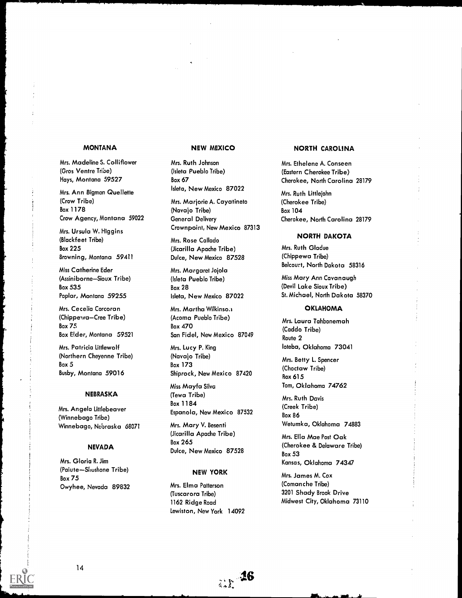Mrs. Madeline S. Colliflower (Gros Ventre Tribe) Hays, Montana 59527

Mrs. Ann Bigman Quellette (Crow Tribe) Box 1178 Crow Agency, Montana 59022

Mrs. Ursula W. Higgins (Blackfeet Tribe) Box 225 Browning, Montana 59411

Miss Catherine Eder (Assiniborne-Sioux Tribe) Box 535 Poplar, Montana 59255

Mrs. Cecelia Corcoran (Chippewa-Cree Tribe) Box 75 Box Eider, Montana 59521

Mrs. Patricia Littlewolf (Northern Cheyenne Tribe) Box 5 Busby, Montana 59016

#### NEBRASKA

Mrs. Angela Littlebeaver (Winnebago Tribe) Winnebago, Nebraska 68071

#### NEVADA

Mrs. Gloria R. Jim (Paiute-Shushone Tribe) Box 75 Owyhee, Nevada 89832

Mrs. Ruth Johnson (Isleta Pueblo Tribe) Box 67 Isleta, New Mexico 87022

Mrs. Marjorie A. Cayatineto (Navajo Tribe) General Delivery Crownpoint, New Mexico 87313

Mrs. Rose Callado (Jicarilla Apache Tribe) Duke, New Mexico 87528

Mrs. Margaret Jojola (Isleta Pueblo Tribe) Box 28 Isleta, New Mexico 87022

Mrs. Martha Wilkinson (Acoma Pueblo Tribe) Box 470 San Fidel, New Mexico 87049

Mrs. Lucy P. King (Navajo Tribe) Box 173 Shiprock, New Mexico 87420

Miss Mayfa Silva (Tewa Tribe) Box 1 1 84 Espanola, New Mexico 87532

Mrs. Mary V. Besenti (Jicarilla Apache Tribe) Box 265 Dulce, New Mexico 87528

#### NEW YORK

Mrs. Elma Patterson (Tuscarora Tribe) 1162 Ridge Road Lewiston, New York 14092

ar <sup>16</sup>

### MONTANA NEW MEXICO NORTH CAROLINA

Mrs. Ethelene A. Conseen (Eastern Cherokee Tribe) Cherokee, North Carolina 28179

Mrs. Ruth Littlejohn (Cherokee Tribe) Box 104 Cherokee, North Carolina 28179

### NORTH DAKOTA

Mrs. Ruth Gladue (Chippewa Tribe) Belcourt, North Dakota 58316

Miss Mary Ann Cavanaugh (Devil Lake Sioux Tribe) St. Michael, North Dakota 58370

#### **OKLAHOMA**

Mrs. Laura Tahbonemah (Caddo Tribe) Route 2 loteba, Oklahoma 73041

Mrs. Betty L. Spencer (Choctaw Tribe) Box 615 Tom, Oklahoma 74762

Mrs. Ruth Davis (Creek Tribe) Box 86 Wetumka, Oklahoma 74883

Mrs. Ella Mae Post Oak (Cherokee & Delaware Tribe) Box 53 Kansas, Oklahoma 74347

Mrs. James M. Cox (Comanche Tribe) 3201 Shady Brook Drive Midwest City, Oklahoma 73110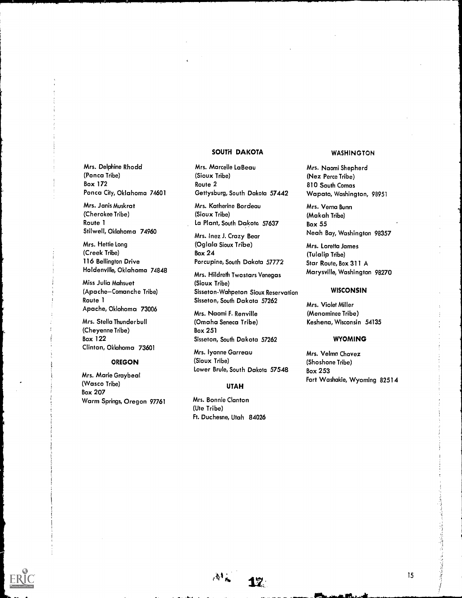### SOUTH DAKOTA

Mrs. Delphine Rhodd (Ponca Tribe) **Box 172** Ponca City, Oklahoma 74601

Mrs. Janis Muskrat (Cherokee Tribe) Route 1 Stilwell, Oklahoma 74960

Mrs. Hettie Long (Creek Tribe) 116 Bellington Drive Holdenville, Oklahoma 74848

Miss Julia Mahseet (Apache-Comanche Tribe) Route 1 Apache, Oklohoma 73006

Mrs. Stella Thunderbull (Cheyenne Tribe) Box 1 22 Clinton, Oklahoma 73601

### OREGON

Mrs. Marie Graybeal (Wasco Tribe) Box 207 Warm Springs, Oregon 97761

Mrs. Marcelle LaBeau (Sioux Tribe) Route 2 Gettysburg, South Dakota 57442

Mrs. Katherine Bordeau (Sioux Tribe) La Plant, South Dakota 57637

Mrs. Inez J. Crazy Bear (Oglala Sioux Tribe) Box 24 Porcupine, South Dakota 57772

Mrs. Hildreth Twostars Venegas (Sioux Tribe) Sisseton-Wahpeton Sioux Reservation Sisseton, South Dakota 57262

Mrs. Naomi F. Renville (Omaha Seneca Tribe) **Box 251** Sisseton, South Dakota 57262

Mrs. lyonne Garreau (Sioux Tribe) Lower Brule, South Dakota 57548

### UTAH

 $A^*$  17

Mrs. Bonnie Clanton (Ute Tribe) Ft. Duchesne, Utah 84026

#### **WASHINGTON**

Mrs. Naomi Shepherd (Nez Perce Tribe) 810 South Comas Wapato, Washington, 98951

Mrs. Verna Bunn (Makah Tribe) Box 55 Neah Bay, Washington 98357

Mrs. Loretta James (Tulalip Tribe) Star Route, Box 311 A Marysville, Washington 98270

### **WISCONSIN**

Mrs. Violet Miller (Menominee Tribe) Keshena, Wisconsin 54135

#### WYOMING

Mrs. Velma Chavez (Shoshone Tribe) **Box 253** Fort Washakie, Wyoming 82514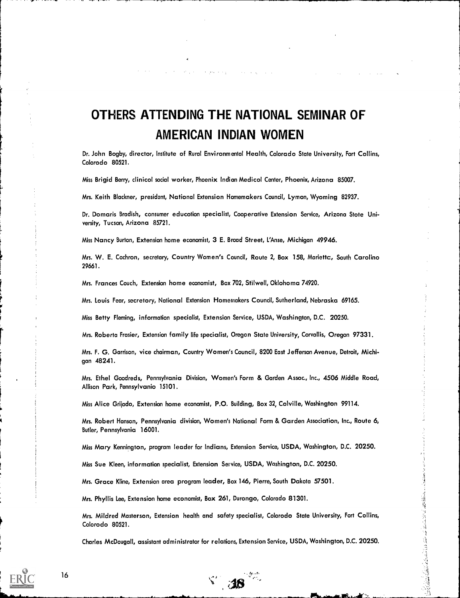# OTHERS ATTENDING THE NATIONAL SEMINAR OF AMERICAN INDIAN WOMEN

Dr. John Bagby, director, Institute of Rural Environm ental Health, Colorado State University, Fort Collins, Colorado 80521.

Miss Brigid Berry, clinical social worker, Phoenix Indian Medical Center, Phoenix, Arizona 85007.

Mrs. Keith Blackner, president, National Extension Homemakers Council, Lyman, Wyoming 82937.

Dr. Domaris Bradish, consumer educotion specialist, Cooperative Extension Service, Arizona Stote University, Tucson, Arizona 85721.

Miss Nancy Burton, Extension home economist, 3 E. Broad Street, L'Anse, Michigan 49946.

Mrs. W. E. Cochron, secretary, Country Women's Council, Route 2, Box 158, Marietta, South Carolino 29661.

Mrs. Frances Couch, Extension home economist, Box 702, Stilwell, Oklohoma 74920.

Mrs. Louis Fear, secretary, National Extension Homemakers Council, Sutherland, Nebraska 69165.

Miss Betty Fleming, information specialist, Extension Service, USDA, Washington, D.C. 20250.

Mrs. Roberta Frasier, Extension family life specialist, Oregon State University, Corvallis, Oregon 97331.

Mrs. F. G. Garrison, vice chairman, Country Women's Council, 8200 East Jefferson Avenue, Detroit, Michigan 48241.

Mrs. Ethel Goodreds, Pennsylvania Division, Women's Form & Garden Assoc., Inc., 4506 Middle Road, Allison Park, Pennsylvania 15101.

Miss Alice Grijada, Extension home economist, P.O. Building, Box 32, Colville, Washington 99114.

Mrs. Robert Hanson, Pennsylvania division, Women's National Farm & Garden Association, Inc., Route 6, Butler, Pennsylvania 16001.

Miss Mary Kennington, program leader for Indians, Extension Service, USDA, Washington, D.C. 20250.

Miss Sue Kleen, information specialist, Extension Service, USDA, Washington, D.C. 20250.

Mrs. Grace Kline, Extension area program leader, Box 146, Pierre, South Dakota 57501.

v,

Mrs. Phyllis Lee, Extension home economist, Box 261, Durango, Colorado 81301.

Mrs. Mildred Masterson, Extension health and safety specialist, Colorado State University, Fort Collins, Colorado 80521.

Charles McDougall, assistant administrator for relations, Extension Service, USDA, Washington, D.C. 20250.

18

"是做我注意注意情"的是"学生学习"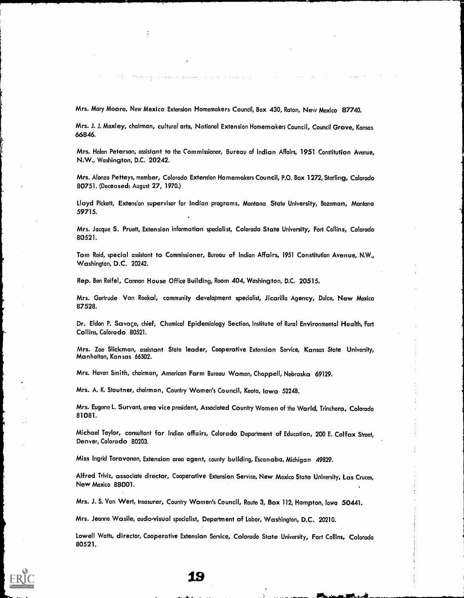Mrs. Mary Moore, New Mexico Extension Homemakers Council, Box 430, Raton, New Mexico 87740.

Mrs. J. J. Moxley, chairman, cultural arts, National Extension Homemakers Council, Council Grove, Kansas 66846.

Mrs. Helen Peterson, assistant to the Commissioner, Bureau of Indian Affairs, 1951 Constitution Avenue, N.W., Washington, D.C. 20242.

Mrs. Alonzo Petteys, member, Colorado Extension Homemakers Council, P.O. Box 1272, Sterling, Colorado 80751. (Deceased: August 27, 1970.)

Lloyd Pickett, Extension supervisor for Indian programs, Montana State University, Bozeman, Montana 59715.

Mrs. Jacque S. Pruett, Extension information specialist, Colorado State University, Fort Collins, Colorado 80521.

Tom Reid, special assistant to Commissioner, Bureau of Indian Affairs, 1951 Constitution Avenue, N.W., Washington, D.C. 20242.

Rep. Ben Reifel, Cannon House Office Building, Room 404, Washington, D.C. 20515.

Mrs. Gertrude Van Roekal, community development specialist, Jicarilla Agency, Dulce, New Mexico 87528.

Dr. Eldon P. Savage, chief, Chemical Epidemiology Section, Institute of Rural Environmental Health, Fort Collins, Colorado 80521.

Mrs. Zoe Slickman, assistant State leader, Cooperative Extension Service, Kansas State University, Manhattan, Kansas 66502.

Mrs. Haven Smith, chairman, American Farm Bureau Women, Chappell, Nebraska 69129.

Mrs. A. K. Stoutner, chairman, Country Women's Council, Keota, Iowa 52248.

Mrs. Eugene L. Survant, area vice president, Associated Country Women of the World, Trinchera, Colorado 81081.

Michael Taylor, consultant for Indian affairs, Colorado Department of Education, 200 E. Colfax Street, Denver, Colorado 80203.

Miss Ingrid Torovonen, Extension area agent, county building, Escanaba, Michigan 49829.

Alfred Triviz, associate director, Cooperative Extension Service, New Mexico State University, Las Cruces, New Mexico 88001.

Mrs. J. S. Van Wert, treasurer, Country Women's Council, Route 3, Box 112, Hampton, Iowa 50441.

Mrs. Jeanne Wasile, audio-visual specialist, Department of Labor, Washington, D.C. 20210.

Lowell Watts, director, Cooperative Extension Service, Colorado State University, Fort Collins, Colorado 80521.